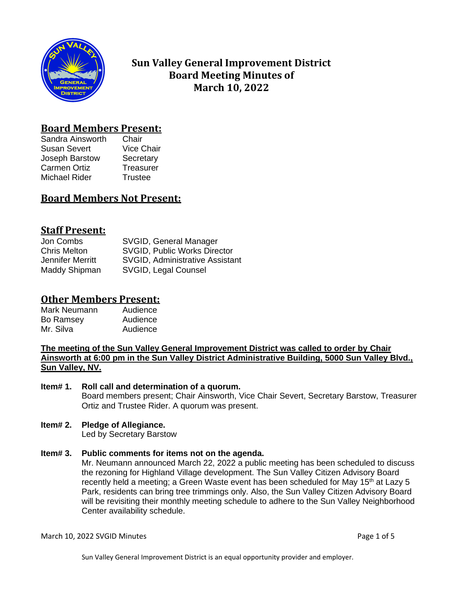

# **Sun Valley General Improvement District Board Meeting Minutes of March 10, 2022**

## **Board Members Present:**

Sandra Ainsworth Chair Susan Severt Vice Chair Joseph Barstow Secretary Carmen Ortiz Treasurer Michael Rider Trustee

# **Board Members Not Present:**

## **Staff Present:**

Jon Combs SVGID, General Manager Chris Melton SVGID, Public Works Director Jennifer Merritt SVGID, Administrative Assistant Maddy Shipman SVGID, Legal Counsel

# **Other Members Present:**

| Mark Neumann | Audience |
|--------------|----------|
| Bo Ramsey    | Audience |
| Mr. Silva    | Audience |

**The meeting of the Sun Valley General Improvement District was called to order by Chair Ainsworth at 6:00 pm in the Sun Valley District Administrative Building, 5000 Sun Valley Blvd., Sun Valley, NV.**

## **Item# 1. Roll call and determination of a quorum.** Board members present; Chair Ainsworth, Vice Chair Severt, Secretary Barstow, Treasurer Ortiz and Trustee Rider. A quorum was present.

## **Item# 2. Pledge of Allegiance.**

Led by Secretary Barstow

## **Item# 3. Public comments for items not on the agenda.**

Mr. Neumann announced March 22, 2022 a public meeting has been scheduled to discuss the rezoning for Highland Village development. The Sun Valley Citizen Advisory Board recently held a meeting; a Green Waste event has been scheduled for May  $15<sup>th</sup>$  at Lazy 5 Park, residents can bring tree trimmings only. Also, the Sun Valley Citizen Advisory Board will be revisiting their monthly meeting schedule to adhere to the Sun Valley Neighborhood Center availability schedule.

March 10, 2022 SVGID Minutes **Page 1 of 5** and 2012 10 and 2014 10:00 and 2014 10:00 and 2014 10:00 Page 1 of 5

Sun Valley General Improvement District is an equal opportunity provider and employer.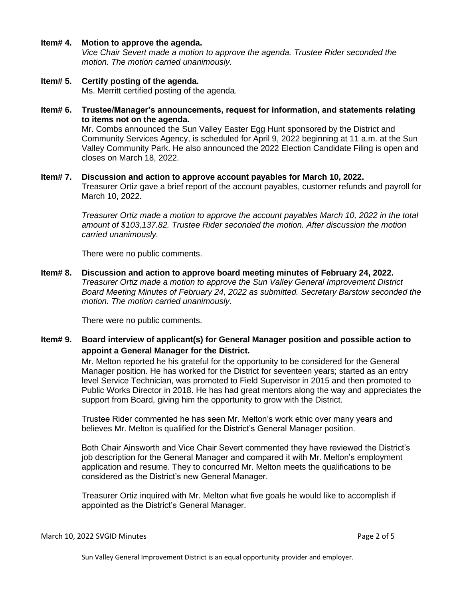### **Item# 4. Motion to approve the agenda.**

*Vice Chair Severt made a motion to approve the agenda. Trustee Rider seconded the motion. The motion carried unanimously.* 

### **Item# 5. Certify posting of the agenda.** Ms. Merritt certified posting of the agenda.

**Item# 6. Trustee/Manager's announcements, request for information, and statements relating to items not on the agenda.**

> Mr. Combs announced the Sun Valley Easter Egg Hunt sponsored by the District and Community Services Agency, is scheduled for April 9, 2022 beginning at 11 a.m. at the Sun Valley Community Park. He also announced the 2022 Election Candidate Filing is open and closes on March 18, 2022.

## **Item# 7. Discussion and action to approve account payables for March 10, 2022.**

Treasurer Ortiz gave a brief report of the account payables, customer refunds and payroll for March 10, 2022.

*Treasurer Ortiz made a motion to approve the account payables March 10, 2022 in the total amount of \$103,137.82. Trustee Rider seconded the motion. After discussion the motion carried unanimously.*

There were no public comments.

**Item# 8. Discussion and action to approve board meeting minutes of February 24, 2022.**  *Treasurer Ortiz made a motion to approve the Sun Valley General Improvement District Board Meeting Minutes of February 24, 2022 as submitted. Secretary Barstow seconded the motion. The motion carried unanimously.*

There were no public comments.

**Item# 9. Board interview of applicant(s) for General Manager position and possible action to appoint a General Manager for the District.** 

> Mr. Melton reported he his grateful for the opportunity to be considered for the General Manager position. He has worked for the District for seventeen years; started as an entry level Service Technician, was promoted to Field Supervisor in 2015 and then promoted to Public Works Director in 2018. He has had great mentors along the way and appreciates the support from Board, giving him the opportunity to grow with the District.

Trustee Rider commented he has seen Mr. Melton's work ethic over many years and believes Mr. Melton is qualified for the District's General Manager position.

Both Chair Ainsworth and Vice Chair Severt commented they have reviewed the District's job description for the General Manager and compared it with Mr. Melton's employment application and resume. They to concurred Mr. Melton meets the qualifications to be considered as the District's new General Manager.

Treasurer Ortiz inquired with Mr. Melton what five goals he would like to accomplish if appointed as the District's General Manager.

#### March 10, 2022 SVGID Minutes **Page 2 of 5** and 2007 the Page 2 of 5

Sun Valley General Improvement District is an equal opportunity provider and employer.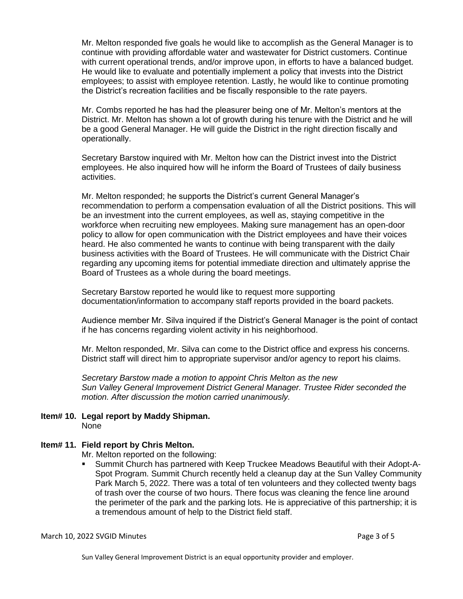Mr. Melton responded five goals he would like to accomplish as the General Manager is to continue with providing affordable water and wastewater for District customers. Continue with current operational trends, and/or improve upon, in efforts to have a balanced budget. He would like to evaluate and potentially implement a policy that invests into the District employees; to assist with employee retention. Lastly, he would like to continue promoting the District's recreation facilities and be fiscally responsible to the rate payers.

Mr. Combs reported he has had the pleasurer being one of Mr. Melton's mentors at the District. Mr. Melton has shown a lot of growth during his tenure with the District and he will be a good General Manager. He will guide the District in the right direction fiscally and operationally.

Secretary Barstow inquired with Mr. Melton how can the District invest into the District employees. He also inquired how will he inform the Board of Trustees of daily business activities.

Mr. Melton responded; he supports the District's current General Manager's recommendation to perform a compensation evaluation of all the District positions. This will be an investment into the current employees, as well as, staying competitive in the workforce when recruiting new employees. Making sure management has an open-door policy to allow for open communication with the District employees and have their voices heard. He also commented he wants to continue with being transparent with the daily business activities with the Board of Trustees. He will communicate with the District Chair regarding any upcoming items for potential immediate direction and ultimately apprise the Board of Trustees as a whole during the board meetings.

Secretary Barstow reported he would like to request more supporting documentation/information to accompany staff reports provided in the board packets.

Audience member Mr. Silva inquired if the District's General Manager is the point of contact if he has concerns regarding violent activity in his neighborhood.

Mr. Melton responded, Mr. Silva can come to the District office and express his concerns. District staff will direct him to appropriate supervisor and/or agency to report his claims.

*Secretary Barstow made a motion to appoint Chris Melton as the new Sun Valley General Improvement District General Manager. Trustee Rider seconded the motion. After discussion the motion carried unanimously.*

### **Item# 10. Legal report by Maddy Shipman.** None

## **Item# 11. Field report by Chris Melton.**

Mr. Melton reported on the following:

▪ Summit Church has partnered with Keep Truckee Meadows Beautiful with their Adopt-A-Spot Program. Summit Church recently held a cleanup day at the Sun Valley Community Park March 5, 2022. There was a total of ten volunteers and they collected twenty bags of trash over the course of two hours. There focus was cleaning the fence line around the perimeter of the park and the parking lots. He is appreciative of this partnership; it is a tremendous amount of help to the District field staff.

### March 10, 2022 SVGID Minutes **Page 3 of 5**

Sun Valley General Improvement District is an equal opportunity provider and employer.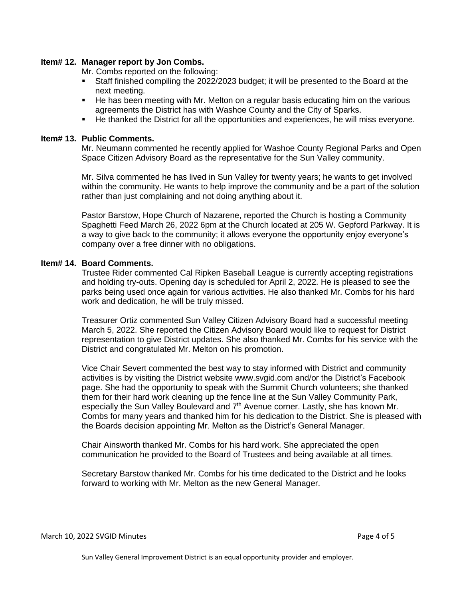## **Item# 12. Manager report by Jon Combs.**

Mr. Combs reported on the following:

- **EXECT** Staff finished compiling the 2022/2023 budget; it will be presented to the Board at the next meeting.
- He has been meeting with Mr. Melton on a regular basis educating him on the various agreements the District has with Washoe County and the City of Sparks.
- He thanked the District for all the opportunities and experiences, he will miss everyone.

### **Item# 13. Public Comments.**

Mr. Neumann commented he recently applied for Washoe County Regional Parks and Open Space Citizen Advisory Board as the representative for the Sun Valley community.

Mr. Silva commented he has lived in Sun Valley for twenty years; he wants to get involved within the community. He wants to help improve the community and be a part of the solution rather than just complaining and not doing anything about it.

Pastor Barstow, Hope Church of Nazarene, reported the Church is hosting a Community Spaghetti Feed March 26, 2022 6pm at the Church located at 205 W. Gepford Parkway. It is a way to give back to the community; it allows everyone the opportunity enjoy everyone's company over a free dinner with no obligations.

## **Item# 14. Board Comments.**

Trustee Rider commented Cal Ripken Baseball League is currently accepting registrations and holding try-outs. Opening day is scheduled for April 2, 2022. He is pleased to see the parks being used once again for various activities. He also thanked Mr. Combs for his hard work and dedication, he will be truly missed.

Treasurer Ortiz commented Sun Valley Citizen Advisory Board had a successful meeting March 5, 2022. She reported the Citizen Advisory Board would like to request for District representation to give District updates. She also thanked Mr. Combs for his service with the District and congratulated Mr. Melton on his promotion.

Vice Chair Severt commented the best way to stay informed with District and community activities is by visiting the District website www.svgid.com and/or the District's Facebook page. She had the opportunity to speak with the Summit Church volunteers; she thanked them for their hard work cleaning up the fence line at the Sun Valley Community Park, especially the Sun Valley Boulevard and 7<sup>th</sup> Avenue corner. Lastly, she has known Mr. Combs for many years and thanked him for his dedication to the District. She is pleased with the Boards decision appointing Mr. Melton as the District's General Manager.

Chair Ainsworth thanked Mr. Combs for his hard work. She appreciated the open communication he provided to the Board of Trustees and being available at all times.

Secretary Barstow thanked Mr. Combs for his time dedicated to the District and he looks forward to working with Mr. Melton as the new General Manager.